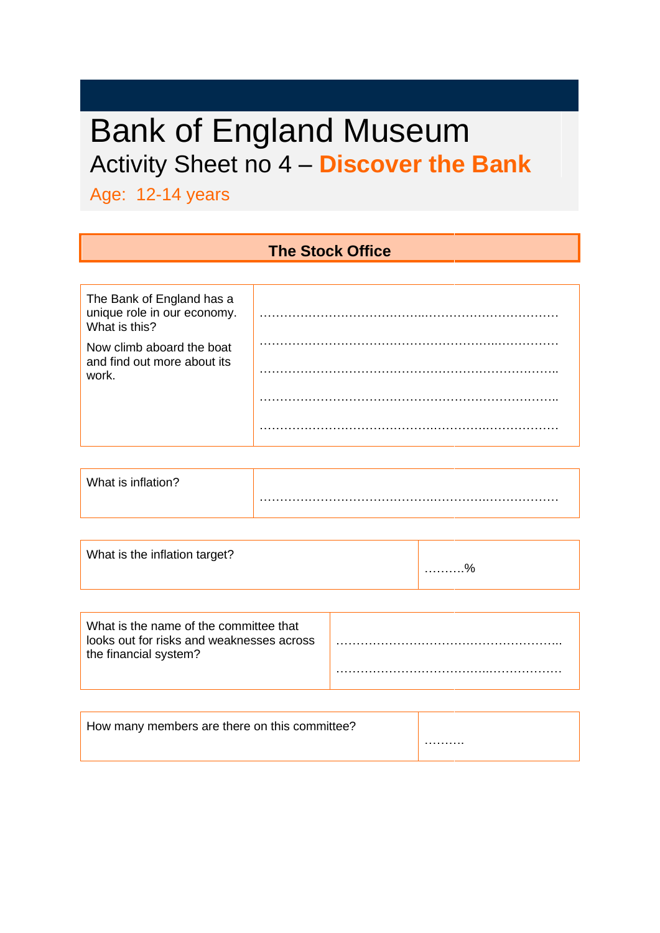# Bank of England Museum Activity Sheet no 4 – **Discover the Bank**

Age: 12-14 years

#### **The Stock Office**

| The Bank of England has a<br>unique role in our economy.<br>What is this? |  |
|---------------------------------------------------------------------------|--|
| Now climb aboard the boat<br>and find out more about its<br>work.         |  |
|                                                                           |  |
|                                                                           |  |

| What is inflation? |  |
|--------------------|--|
|                    |  |

| What is the inflation target?                                                                                | . % |
|--------------------------------------------------------------------------------------------------------------|-----|
| What is the name of the committee that<br>looks out for risks and weaknesses across<br>the financial system? |     |

| How many members are there on this committee? |   |
|-----------------------------------------------|---|
|                                               | . |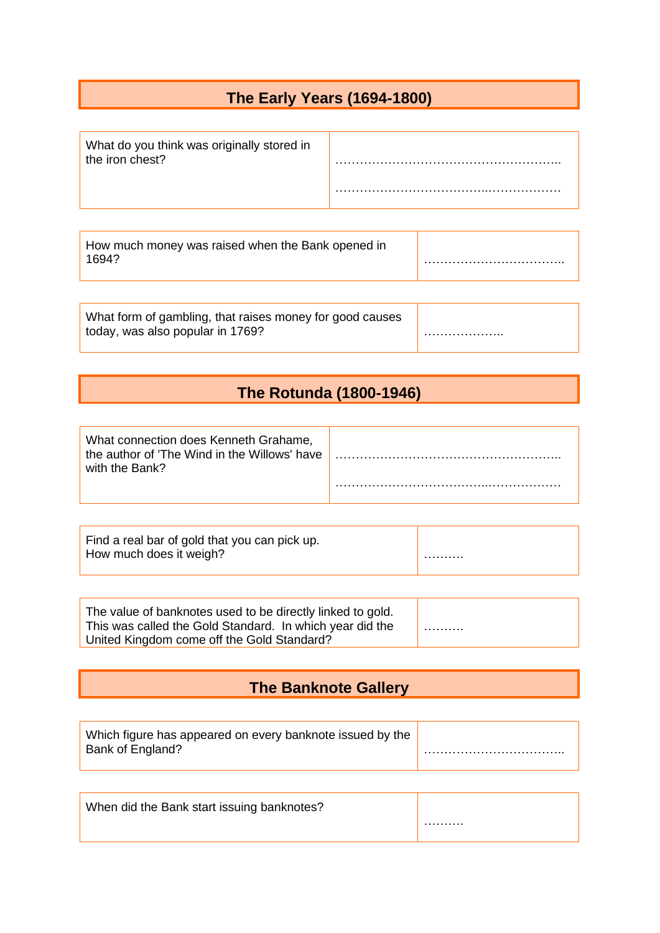### **The Early Years (1694-1800)**

| What do you think was originally stored in<br>the iron chest? |  |
|---------------------------------------------------------------|--|
|                                                               |  |

| How much money was raised when the Bank opened in<br>1694? |  |
|------------------------------------------------------------|--|
|                                                            |  |

| What form of gambling, that raises money for good causes |  |
|----------------------------------------------------------|--|
| today, was also popular in 1769?                         |  |

#### **The Rotunda (1800-1946)**

| What connection does Kenneth Grahame,<br>the author of 'The Wind in the Willows' have<br>with the Bank? |  |
|---------------------------------------------------------------------------------------------------------|--|
|                                                                                                         |  |

| Find a real bar of gold that you can pick up. |   |
|-----------------------------------------------|---|
| How much does it weigh?                       | . |

| The value of banknotes used to be directly linked to gold. |  |
|------------------------------------------------------------|--|
| This was called the Gold Standard. In which year did the   |  |
| United Kingdom come off the Gold Standard?                 |  |

### **The Banknote Gallery**

| Which figure has appeared on every banknote issued by the |   |
|-----------------------------------------------------------|---|
| Bank of England?                                          | . |
|                                                           |   |

| When did the Bank start issuing banknotes? |   |
|--------------------------------------------|---|
|                                            | . |